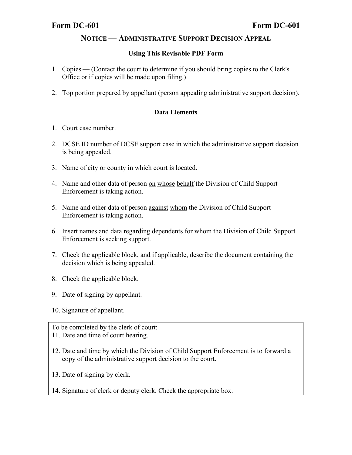## **NOTICE — ADMINISTRATIVE SUPPORT DECISION APPEAL**

## **Using This Revisable PDF Form**

- 1. Copies (Contact the court to determine if you should bring copies to the Clerk's Office or if copies will be made upon filing.)
- 2. Top portion prepared by appellant (person appealing administrative support decision).

## **Data Elements**

- 1. Court case number.
- 2. DCSE ID number of DCSE support case in which the administrative support decision is being appealed.
- 3. Name of city or county in which court is located.
- 4. Name and other data of person on whose behalf the Division of Child Support Enforcement is taking action.
- 5. Name and other data of person against whom the Division of Child Support Enforcement is taking action.
- 6. Insert names and data regarding dependents for whom the Division of Child Support Enforcement is seeking support.
- 7. Check the applicable block, and if applicable, describe the document containing the decision which is being appealed.
- 8. Check the applicable block.
- 9. Date of signing by appellant.
- 10. Signature of appellant.

## To be completed by the clerk of court:

11. Date and time of court hearing.

- 12. Date and time by which the Division of Child Support Enforcement is to forward a copy of the administrative support decision to the court.
- 13. Date of signing by clerk.
- 14. Signature of clerk or deputy clerk. Check the appropriate box.